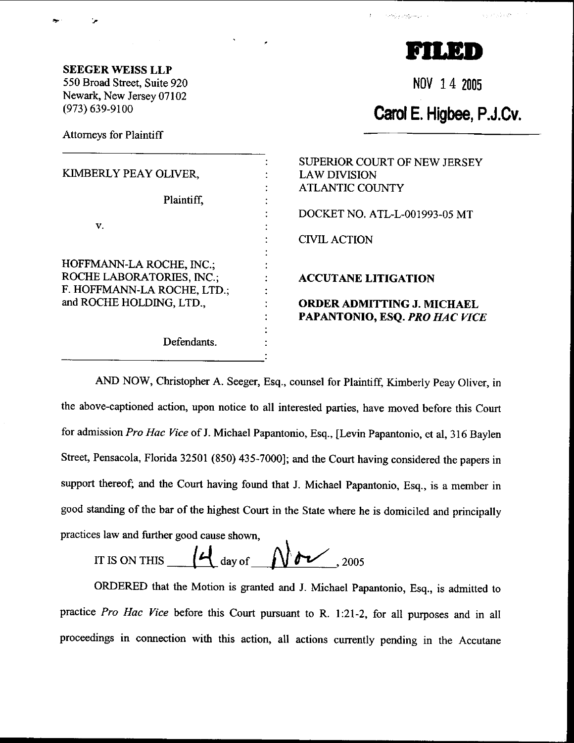a kierinde gr



Nov 14 2005

## Carol E. Higbee, P.J.Cv.

SEEGERWEISS LLP 550 Broad Street, Suite 920 Newark, New Jersey 07102 (973) 639-9100

Attomeys for Plaintiff

|                                  | SUPERIOR COURT OF NEW JERSEY      |
|----------------------------------|-----------------------------------|
| KIMBERLY PEAY OLIVER,            | <b>LAW DIVISION</b>               |
|                                  | <b>ATLANTIC COUNTY</b>            |
| Plaintiff.                       |                                   |
|                                  | DOCKET NO. ATL-L-001993-05 MT     |
| V.                               |                                   |
|                                  | <b>CIVIL ACTION</b>               |
|                                  |                                   |
| HOFFMANN-LA ROCHE, INC.;         |                                   |
| <b>ROCHE LABORATORIES, INC.;</b> | <b>ACCUTANE LITIGATION</b>        |
| F. HOFFMANN-LA ROCHE, LTD.;      |                                   |
| and ROCHE HOLDING, LTD.,         | <b>ORDER ADMITTING J. MICHAEL</b> |
|                                  | PAPANTONIO, ESQ. PRO HAC VICE     |
|                                  |                                   |
| Defendants.                      |                                   |
|                                  |                                   |

AND NOW, Christopher A. Seeger, Esq., counsel for Plaintiff, Kimberly peay Oliver, in the above-captioned action, upon notice to all interested parties, have moved before this Court for admission Pro Hac Vice of J. Michael Papantonio, Esq., [Levin Papantonio, et al, 316 Baylen Street, Pensacola, Florida 32501 (850) 435-7000]; and the Court having considered the papers in support thereof; and the court having found that J. Michael papantonio, Esq., is a member in good standing of the bar of the highest Court in the State where he is domiciled and principally practices law and further good cause shown,

IT IS ON THIS  $4\frac{d}{dx}$  day of  $\frac{d}{dx}$  . 2005

ORDERED that the Motion is granted and J. Michael papantonio, Esq., is admitted to practice Pro Hac Yice before this court pursuant to R. l:21-2, for all purposes and in all proceedings in connection with this action, all actions currently pending in the Accutane